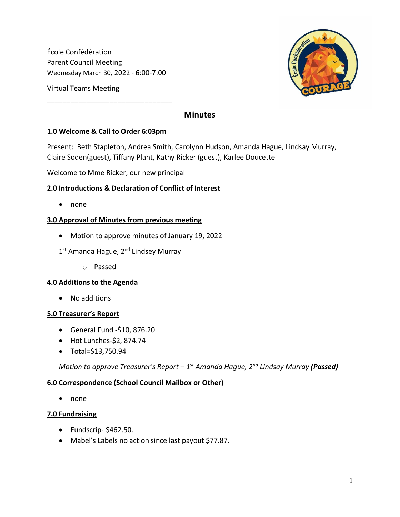École Confédération Parent Council Meeting Wednesday March 30, 2022 - 6:00-7:00

Virtual Teams Meeting

# **Minutes**

## **1.0 Welcome & Call to Order 6:03pm**

\_\_\_\_\_\_\_\_\_\_\_\_\_\_\_\_\_\_\_\_\_\_\_\_\_\_\_\_\_\_\_\_

Present: Beth Stapleton, Andrea Smith, Carolynn Hudson, Amanda Hague, Lindsay Murray, Claire Soden(guest)**,** Tiffany Plant, Kathy Ricker (guest), Karlee Doucette

Welcome to Mme Ricker, our new principal

## **2.0 Introductions & Declaration of Conflict of Interest**

• none

### **3.0 Approval of Minutes from previous meeting**

- Motion to approve minutes of January 19, 2022
- 1<sup>st</sup> Amanda Hague, 2<sup>nd</sup> Lindsey Murray
	- o Passed

#### **4.0 Additions to the Agenda**

• No additions

#### **5.0 Treasurer's Report**

- General Fund -\$10, 876.20
- Hot Lunches-\$2, 874.74
- Total=\$13,750.94

*Motion to approve Treasurer's Report – 1 st Amanda Hague, 2nd Lindsay Murray (Passed)*

#### **6.0 Correspondence (School Council Mailbox or Other)**

• none

#### **7.0 Fundraising**

- Fundscrip- \$462.50.
- Mabel's Labels no action since last payout \$77.87.